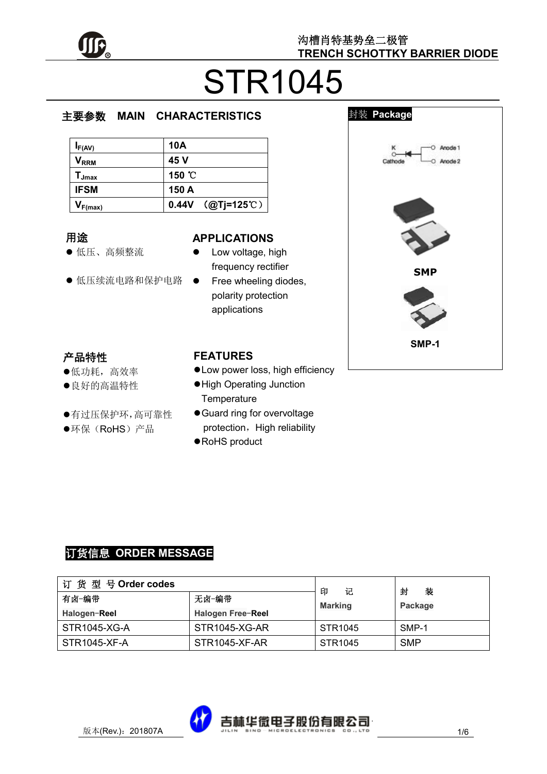

# STR1045

#### e  $\overline{\phantom{a}}$ **MAIN CHARACTERISTICS**

| $I_{F(AV)}$                  | 10A                 |
|------------------------------|---------------------|
| $\mathsf{V}_{\mathsf{RRM}}$  | 45 V                |
| $\mathsf{T}_{\mathsf{Jmax}}$ | 150 °C              |
| <b>IFSM</b>                  | 150 A               |
| $V_{F(max)}$                 | $0.44V$ (@Tj=125°C) |

#### 用途

- 低压、高频整流
- 低压续流电路和保护电路

#### **APPLICATIONS**

- Low voltage, high frequency rectifier
- Free wheeling diodes, polarity protection applications

## 产品特性

- 低功耗,高效率
- 良好的高温特性
- 有过压保护环,高可靠性
- ●环保(RoHS)产品

### **FEATURES**

- Low power loss, high efficiency
- High Operating Junction **Temperature**
- Guard ring for overvoltage protection, High reliability
- RoHS product



## 订货信息 **ORDER MESSAGE**

| 订货型号Order codes |                   | 印<br>记              | 封<br>装     |
|-----------------|-------------------|---------------------|------------|
| 有卤-编带           | 无卤-编带             | <b>Marking</b>      | Package    |
| Halogen-Reel    | Halogen Free-Reel |                     |            |
| STR1045-XG-A    | STR1045-XG-AR     | STR <sub>1045</sub> | SMP-1      |
| STR1045-XF-A    | STR1045-XF-AR     | STR <sub>1045</sub> | <b>SMP</b> |

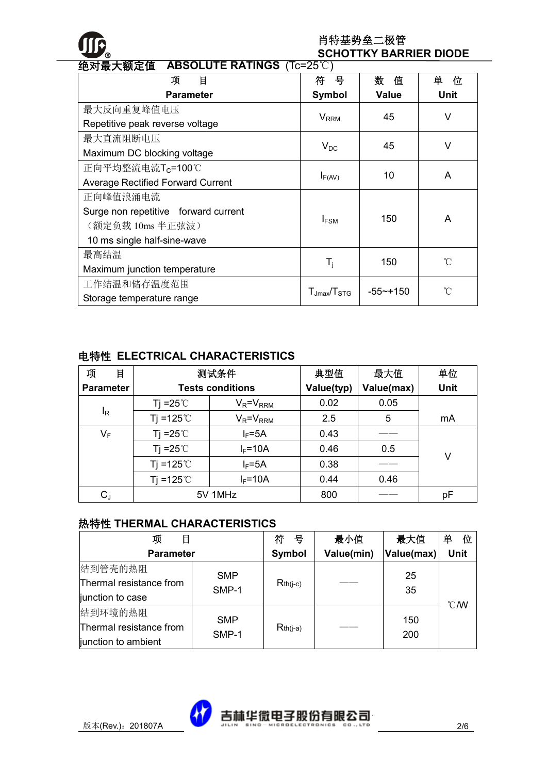

#### 肖特基势垒二极管 **SCHOTTKY BARRIER DIODE**

| <b>弝刈冣大</b> 额疋诅<br>ABSULUTE RATINGS $(1C=25C)$ |                         |              |                     |  |
|------------------------------------------------|-------------------------|--------------|---------------------|--|
| 目<br>项                                         | 号<br>符                  | 数<br>值       | 单<br>位              |  |
| <b>Parameter</b>                               | <b>Symbol</b>           | <b>Value</b> | <b>Unit</b>         |  |
| 最大反向重复峰值电压                                     | <b>V</b> <sub>RRM</sub> | 45           | V                   |  |
| Repetitive peak reverse voltage                |                         |              |                     |  |
| 最大直流阻断电压                                       |                         | 45           | V                   |  |
| Maximum DC blocking voltage                    | $V_{DC}$                |              |                     |  |
| 正向平均整流电流T <sub>C</sub> =100℃                   | $I_{F(AV)}$             | 10           | A                   |  |
| <b>Average Rectified Forward Current</b>       |                         |              |                     |  |
| 正向峰值浪涌电流                                       |                         |              |                     |  |
| Surge non repetitive forward current           | $I_{FSM}$               | 150          | A                   |  |
| (额定负载 10ms 半正弦波)                               |                         |              |                     |  |
| 10 ms single half-sine-wave                    |                         |              |                     |  |
| 最高结温                                           |                         | 150          | $\int_{0}^{\infty}$ |  |
| Maximum junction temperature                   | $T_i$                   |              |                     |  |
| 工作结温和储存温度范围                                    |                         | $-55$ ~+150  | $\bigcap^{\circ}$   |  |
| Storage temperature range                      | $T_{Jmax}/T_{\rm STG}$  |              |                     |  |

#### 绝对最大额定值 **ABSOLUTE RATINGS** (Tc=25℃)

#### 电特性 **ELECTRICAL CHARACTERISTICS**

| 项<br>目           | 测试条件                    |                 | 典型值        | 最大值        | 单位          |
|------------------|-------------------------|-----------------|------------|------------|-------------|
| <b>Parameter</b> | <b>Tests conditions</b> |                 | Value(typ) | Value(max) | <b>Unit</b> |
|                  | Tj =25 $\degree$ C      | $V_R = V_{RRM}$ | 0.02       | 0.05       |             |
| ΙŖ               | Ti =125 $^{\circ}$ C    | $V_R = V_{RRM}$ | 2.5        | 5          | mA          |
| $V_F$            | Tj = $25^{\circ}$ C     | $I_F = 5A$      | 0.43       |            |             |
|                  | Ti = $25^{\circ}$ C     | $I_F = 10A$     | 0.46       | 0.5        | v           |
|                  | Ti =125 $^{\circ}$ C    | $I_F = 5A$      | 0.38       |            |             |
|                  | Ti =125 $^{\circ}$ C    | $I_F = 10A$     | 0.44       | 0.46       |             |
| $C_{J}$          | 5V 1MHz                 |                 | 800        |            | рF          |

#### 热特性 **THERMAL CHARACTERISTICS**

| 项<br>目                                                    |                     | 符<br>뮥        | 最小值        | 最大值        | 单<br>位         |
|-----------------------------------------------------------|---------------------|---------------|------------|------------|----------------|
| <b>Parameter</b>                                          |                     | <b>Symbol</b> | Value(min) | Value(max) | <b>Unit</b>    |
| 结到管壳的热阻<br>Thermal resistance from<br>junction to case    | <b>SMP</b><br>SMP-1 | $Rth(i-c)$    |            | 25<br>35   | $^{\circ}$ C/W |
| 结到环境的热阻<br>Thermal resistance from<br>junction to ambient | <b>SMP</b><br>SMP-1 | $Rth(i-a)$    |            | 150<br>200 |                |

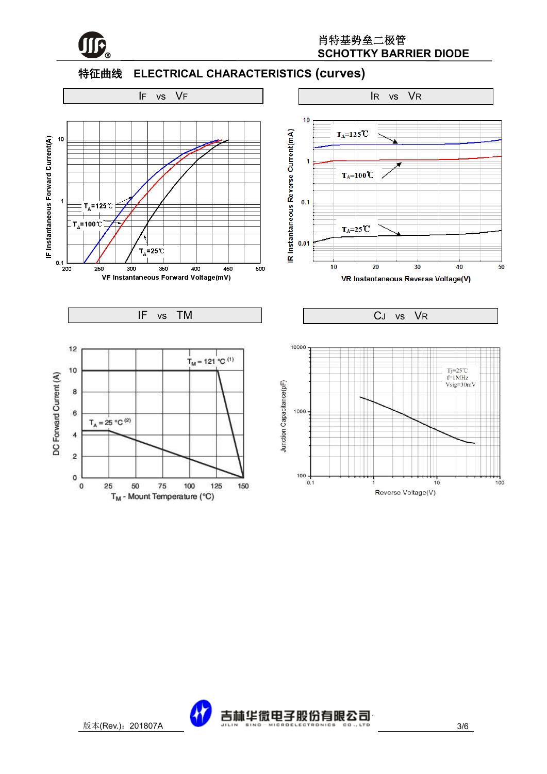

### 特征曲线 **ELECTRICAL CHARACTERISTICS (curves)**



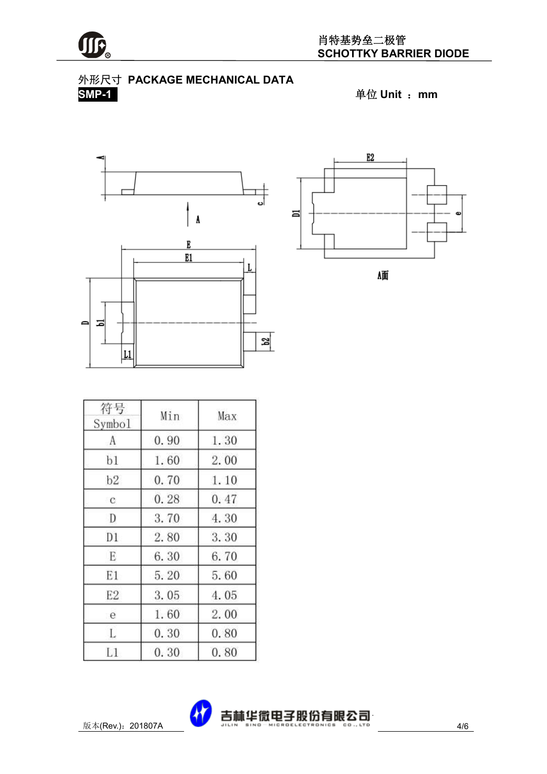



**SMP-1** 单位 **Unit** :**mm**





価

| 符号<br>Symbol   | Min  | Max  |
|----------------|------|------|
| А              | 0.90 | 1.30 |
| b1             | 1.60 | 2.00 |
| b2             | 0.70 | 1.10 |
| $\mathbf{c}$   | 0.28 | 0.47 |
| D              | 3.70 | 4.30 |
| D1             | 2.80 | 3.30 |
| E              | 6.30 | 6.70 |
| E1             | 5.20 | 5.60 |
| E <sub>2</sub> | 3.05 | 4.05 |
| e              | 1.60 | 2.00 |
| L              | 0.30 | 0.80 |
| L1             | 0.30 | 0.80 |

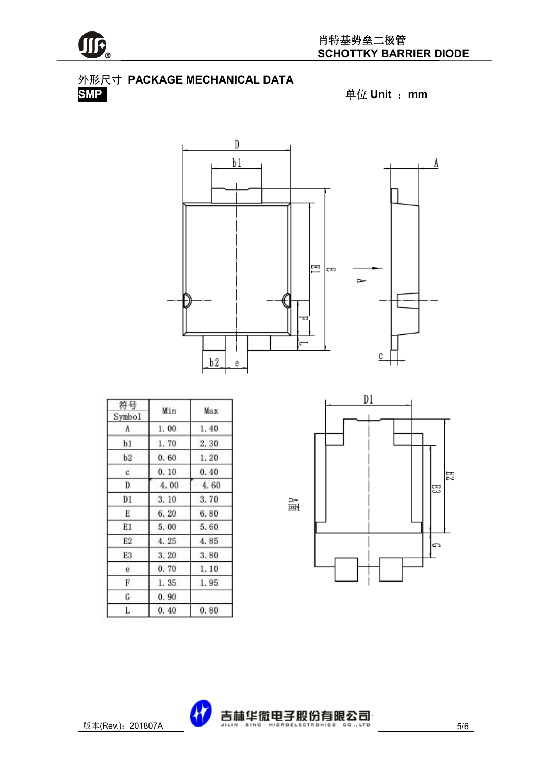

## 外形尺寸 **PACKAGE MECHANICAL DATA**





| 符号<br>Symbol | Min               | Max  |
|--------------|-------------------|------|
| Ā            | 1.00              | 1.40 |
| b1           | 1.70              | 2.30 |
| b2           | 0.60              | 1.20 |
| c            | 0.10              | 0.40 |
| Ð            | 4.00              | 4.60 |
| D1           | 3.10              | 3.70 |
| E            | 6.20              | 6.80 |
| E1           | 5.00              | 5.60 |
| E2           | 4.25              | 4.85 |
| E3           | 3.20              | 3.80 |
| e.           | 0.70              | 1.10 |
| F.           | 1.35 <sub>1</sub> | 1.95 |
| G            | 0.90              |      |
| L            | 0.40              | 0.80 |